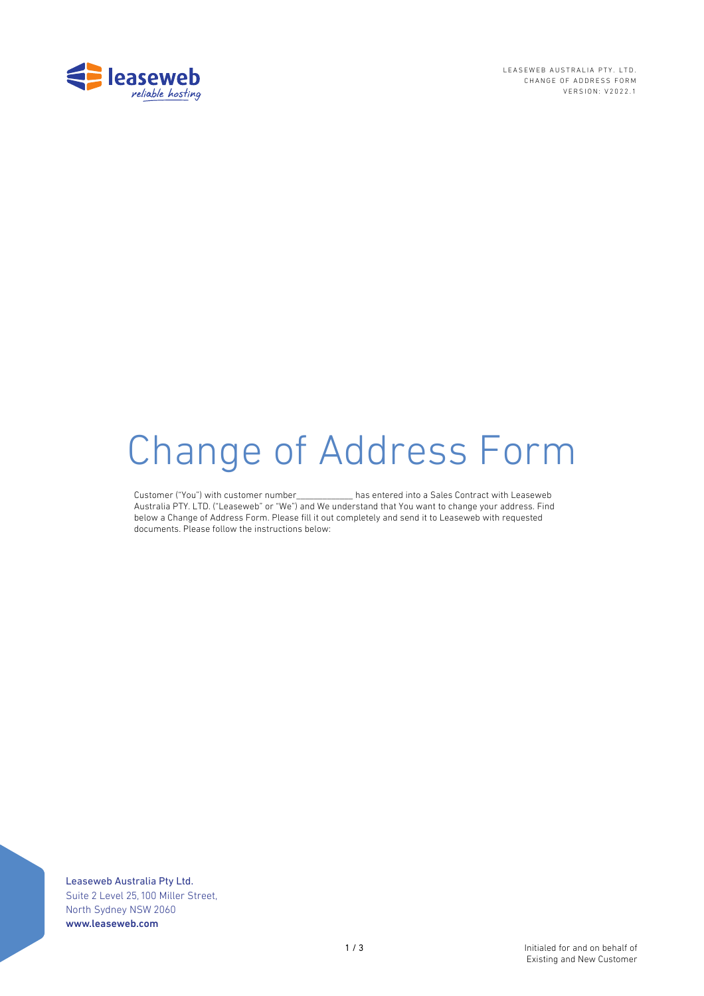

LEASEWEB AUSTRALIA PTY. LTD. CHANGE OF ADDRESS FORM VERSION: V2022.1

# Change of Address Form

Customer ("You") with customer number\_\_\_\_\_\_\_\_\_\_\_\_\_ has entered into a Sales Contract with Leaseweb Australia PTY. LTD. ("Leaseweb" or "We") and We understand that You want to change your address. Find below a Change of Address Form. Please fill it out completely and send it to Leaseweb with requested documents. Please follow the instructions below:

Leaseweb Australia Pty Ltd. Suite 2 Level 25, 100 Miller Street, North Sydney NSW 2060 www.leaseweb.com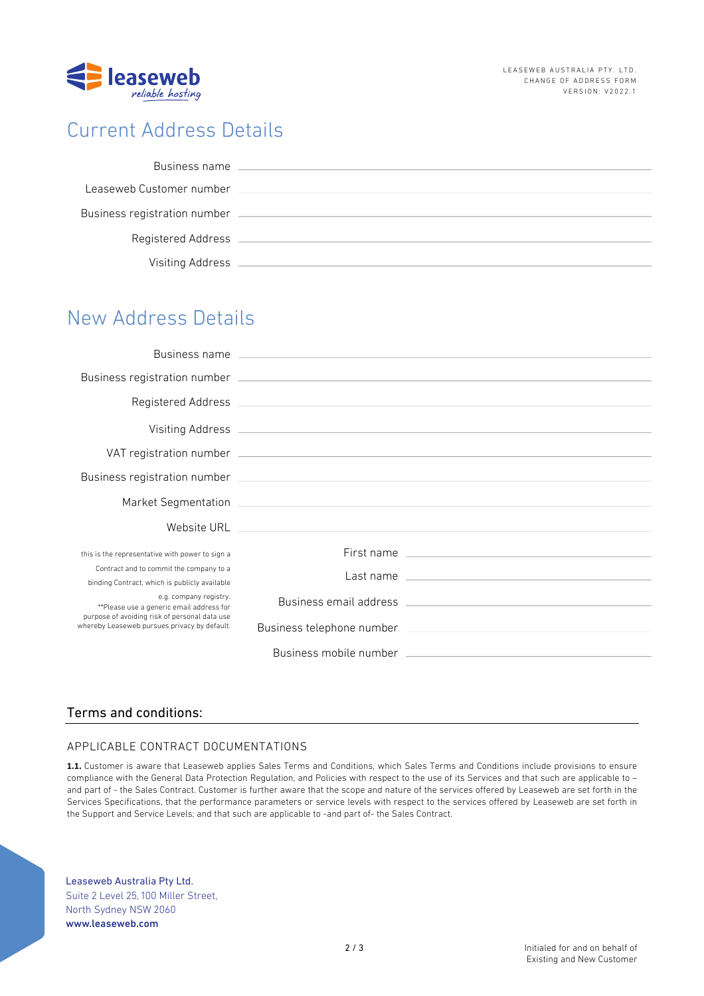

# Current Address Details

| Business name                |  |
|------------------------------|--|
| Leaseweb Customer number     |  |
| Business registration number |  |
| Registered Address           |  |
| Visiting Address             |  |

# New Address Details

| this is the representative with power to sign a                                                                                                                     | First name                                                                                                                                                                                                                           |
|---------------------------------------------------------------------------------------------------------------------------------------------------------------------|--------------------------------------------------------------------------------------------------------------------------------------------------------------------------------------------------------------------------------------|
| Contract and to commit the company to a<br>binding Contract, which is publicly available                                                                            | Last name <u>experience and the series of the series of the series of the series of the series of the series of the series of the series of the series of the series of the series of the series of the series of the series of </u> |
| e.g. company registry.<br>**Please use a generic email address for<br>purpose of avoiding risk of personal data use<br>whereby Leaseweb pursues privacy by default. |                                                                                                                                                                                                                                      |
|                                                                                                                                                                     |                                                                                                                                                                                                                                      |
|                                                                                                                                                                     |                                                                                                                                                                                                                                      |

## Terms and conditions:

## APPLICABLE CONTRACT DOCUMENTATIONS

**1.1.** Customer is aware that Leaseweb applies Sales Terms and Conditions, which Sales Terms and Conditions include provisions to ensure compliance with the General Data Protection Regulation, and Policies with respect to the use of its Services and that such are applicable to – and part of - the Sales Contract. Customer is further aware that the scope and nature of the services offered by Leaseweb are set forth in the Services Specifications, that the performance parameters or service levels with respect to the services offered by Leaseweb are set forth in the Support and Service Levels; and that such are applicable to -and part of- the Sales Contract.

Leaseweb Australia Pty Ltd. Suite 2 Level 25, 100 Miller Street, North Sydney NSW 2060 www.leaseweb.com